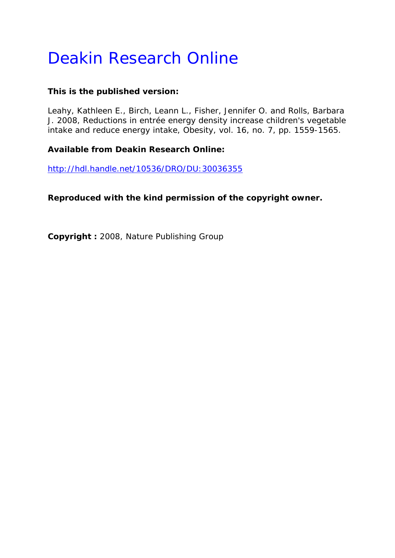# Deakin Research Online

### **This is the published version:**

Leahy, Kathleen E., Birch, Leann L., Fisher, Jennifer O. and Rolls, Barbara J. 2008, Reductions in entrée energy density increase children's vegetable intake and reduce energy intake*, Obesity*, vol. 16, no. 7, pp. 1559-1565.

### **Available from Deakin Research Online:**

http://hdl.handle.net/10536/DRO/DU:30036355

**Reproduced with the kind permission of the copyright owner.** 

**Copyright :** 2008, Nature Publishing Group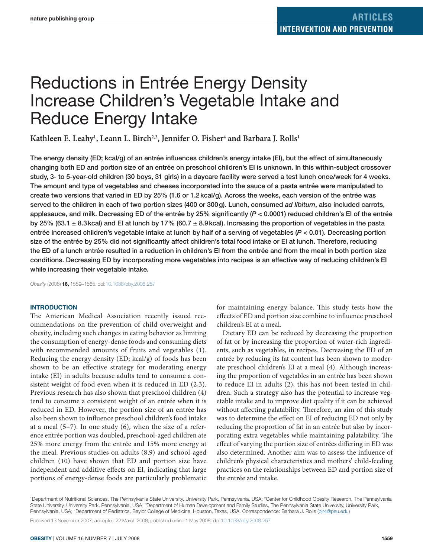# Reductions in Entrée Energy Density Increase Children's Vegetable Intake and Reduce Energy Intake

Kathleen E. Leahy<sup>1</sup>, Leann L. Birch<sup>2,3</sup>, Jennifer O. Fisher<sup>4</sup> and Barbara J. Rolls<sup>1</sup>

The energy density (ED; kcal/g) of an entrée influences children's energy intake (EI), but the effect of simultaneously changing both ED and portion size of an entrée on preschool children's EI is unknown. In this within-subject crossover study, 3- to 5-year-old children (30 boys, 31 girls) in a daycare facility were served a test lunch once/week for 4 weeks. The amount and type of vegetables and cheeses incorporated into the sauce of a pasta entrée were manipulated to create two versions that varied in ED by 25% (1.6 or 1.2kcal/g). Across the weeks, each version of the entrée was served to the children in each of two portion sizes (400 or 300g). Lunch, consumed *ad libitum*, also included carrots, applesauce, and milk. Decreasing ED of the entrée by 25% significantly (*P* < 0.0001) reduced children's EI of the entrée by 25% (63.1  $\pm$  8.3kcal) and EI at lunch by 17% (60.7  $\pm$  8.9kcal). Increasing the proportion of vegetables in the pasta entrée increased children's vegetable intake at lunch by half of a serving of vegetables (*P* < 0.01). Decreasing portion size of the entrée by 25% did not significantly affect children's total food intake or EI at lunch. Therefore, reducing the ED of a lunch entrée resulted in a reduction in children's EI from the entrée and from the meal in both portion size conditions. Decreasing ED by incorporating more vegetables into recipes is an effective way of reducing children's EI while increasing their vegetable intake.

*Obesity* (2008) **16,** 1559–1565. doi[:10.1038/oby.2008.257](http://www.nature.com/doifinder/10.1038/oby.2008.257)

### **Introduction**

The American Medical Association recently issued recommendations on the prevention of child overweight and obesity, including such changes in eating behavior as limiting the consumption of energy-dense foods and consuming diets with recommended amounts of fruits and vegetables (1). Reducing the energy density (ED; kcal/g) of foods has been shown to be an effective strategy for moderating energy intake (EI) in adults because adults tend to consume a consistent weight of food even when it is reduced in ED (2,3). Previous research has also shown that preschool children (4) tend to consume a consistent weight of an entrée when it is reduced in ED. However, the portion size of an entrée has also been shown to influence preschool children's food intake at a meal (5–7). In one study (6), when the size of a reference entrée portion was doubled, preschool-aged children ate 25% more energy from the entrée and 15% more energy at the meal. Previous studies on adults (8,9) and school-aged children (10) have shown that ED and portion size have independent and additive effects on EI, indicating that large portions of energy-dense foods are particularly problematic for maintaining energy balance. This study tests how the effects of ED and portion size combine to influence preschool children's EI at a meal.

Dietary ED can be reduced by decreasing the proportion of fat or by increasing the proportion of water-rich ingredients, such as vegetables, in recipes. Decreasing the ED of an entrée by reducing its fat content has been shown to moderate preschool children's EI at a meal (4). Although increasing the proportion of vegetables in an entrée has been shown to reduce EI in adults (2), this has not been tested in children. Such a strategy also has the potential to increase vegetable intake and to improve diet quality if it can be achieved without affecting palatability. Therefore, an aim of this study was to determine the effect on EI of reducing ED not only by reducing the proportion of fat in an entrée but also by incorporating extra vegetables while maintaining palatability. The effect of varying the portion size of entrées differing in ED was also determined. Another aim was to assess the influence of children's physical characteristics and mothers' child-feeding practices on the relationships between ED and portion size of the entrée and intake.

Received 13 November 2007; accepted 22 March 2008; published online 1 May 2008. doi[:10.1038/oby.2008.257](http://www.nature.com/doifinder/10.1038/oby.2008.257)

<sup>&</sup>lt;sup>1</sup>Department of Nutritional Sciences, The Pennsylvania State University, University Park, Pennsylvania, USA; <sup>2</sup>Center for Childhood Obesity Research, The Pennsylvania State University, University Park, Pennsylvania, USA; <sup>3</sup>Department of Human Development and Family Studies, The Pennsylvania State University, University Park, Pennsylvania, USA; <sup>4</sup>Department of Pediatrics, Baylor College of Medicine, Houston, Texas, USA. Correspondence: Barbara J. Rolls [\(bjr4@psu.edu\)](mailto:bjr4@psu.edu)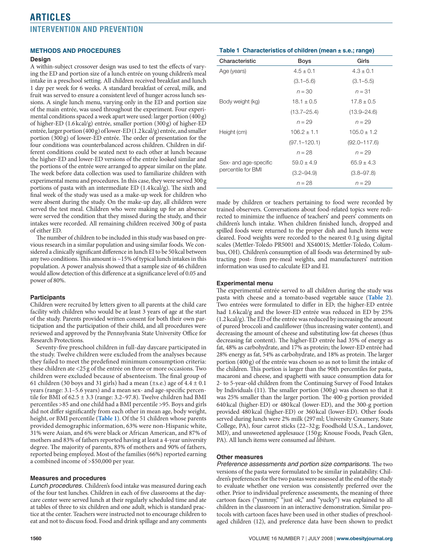### **Methods And Procedures**

#### **Design**

A within-subject crossover design was used to test the effects of varying the ED and portion size of a lunch entrée on young children's meal intake in a preschool setting. All children received breakfast and lunch 1 day per week for 6 weeks. A standard breakfast of cereal, milk, and fruit was served to ensure a consistent level of hunger across lunch sessions. A single lunch menu, varying only in the ED and portion size of the main entrée, was used throughout the experiment. Four experimental conditions spaced a week apart were used: larger portion (400g) of higher-ED (1.6kcal/g) entrée, smaller portion (300g) of higher-ED entrée, larger portion (400g) of lower-ED (1.2kcal/g) entrée, and smaller portion (300g) of lower-ED entrée. The order of presentation for the four conditions was counterbalanced across children. Children in different conditions could be seated next to each other at lunch because the higher-ED and lower-ED versions of the entrée looked similar and the portions of the entrée were arranged to appear similar on the plate. The week before data collection was used to familiarize children with experimental menu and procedures. In this case, they were served 300g portions of pasta with an intermediate ED (1.4kcal/g). The sixth and final week of the study was used as a make-up week for children who were absent during the study. On the make-up day, all children were served the test meal. Children who were making up for an absence were served the condition that they missed during the study, and their intakes were recorded. All remaining children received 300g of pasta of either ED.

The number of children to be included in this study was based on previous research in a similar population and using similar foods. We considered a clinically significant difference in lunch EI to be 50kcal between any two conditions. This amount is ~15% of typical lunch intakes in this population. A power analysis showed that a sample size of 46 children would allow detection of this difference at a significance level of 0.05 and power of 80%.

### **Participants**

Children were recruited by letters given to all parents at the child care facility with children who would be at least 3 years of age at the start of the study. Parents provided written consent for both their own participation and the participation of their child, and all procedures were reviewed and approved by the Pennsylvania State University Office for Research Protections.

Seventy-five preschool children in full-day daycare participated in the study. Twelve children were excluded from the analyses because they failed to meet the predefined minimum consumption criteria: these children ate <25 g of the entrée on three or more occasions. Two children were excluded because of absenteeism. The final group of 61 children (30 boys and 31 girls) had a mean ( $\pm$ s.e.) age of  $4.4 \pm 0.1$ years (range: 3.1–5.6 years) and a mean sex- and age-specific percentile for BMI of  $62.5 \pm 3.3$  (range: 3.2–97.8). Twelve children had BMI percentiles >85 and one child had a BMI percentile >95. Boys and girls did not differ significantly from each other in mean age, body weight, height, or BMI percentile (**Table 1**). Of the 51 children whose parents provided demographic information, 63% were non-Hispanic white, 31% were Asian, and 6% were black or African American, and 87% of mothers and 83% of fathers reported having at least a 4-year university degree. The majority of parents, 83% of mothers and 90% of fathers, reported being employed. Most of the families (66%) reported earning a combined income of >\$50,000 per year.

### **Measures and procedures**

*Lunch procedures.* Children's food intake was measured during each of the four test lunches. Children in each of five classrooms at the daycare center were served lunch at their regularly scheduled time and ate at tables of three to six children and one adult, which is standard practice at the center. Teachers were instructed not to encourage children to eat and not to discuss food. Food and drink spillage and any comments

### **Table 1 Characteristics of children (mean ± s.e.; range)**

| Characteristic        | Boys             | Girls            |
|-----------------------|------------------|------------------|
| Age (years)           | $4.5 \pm 0.1$    | $4.3 \pm 0.1$    |
|                       | $(3.1 - 5.6)$    | $(3.1 - 5.5)$    |
|                       | $n = 30$         | $n = 31$         |
| Body weight (kg)      | $18.1 \pm 0.5$   | $17.8 \pm 0.5$   |
|                       | $(13.7 - 25.4)$  | $(13.9 - 24.6)$  |
|                       | $n = 29$         | $n = 29$         |
| Height (cm)           | $106.2 \pm 1.1$  | $105.0 \pm 1.2$  |
|                       | $(97.1 - 120.1)$ | $(92.0 - 117.6)$ |
|                       | $n = 28$         | $n = 29$         |
| Sex- and age-specific | $59.0 \pm 4.9$   | $65.9 \pm 4.3$   |
| percentile for BMI    | $(3.2 - 94.9)$   | $(3.8 - 97.8)$   |
|                       | $n = 28$         | $n = 29$         |

made by children or teachers pertaining to food were recorded by trained observers. Conversations about food-related topics were redirected to minimize the influence of teachers' and peers' comments on children's lunch intake. When children finished lunch, dropped and spilled foods were returned to the proper dish and lunch items were cleared. Food weights were recorded to the nearest 0.1g using digital scales (Mettler-Toledo PR5001 and XS4001S; Mettler-Toledo, Columbus, OH). Children's consumption of all foods was determined by subtracting post- from pre-meal weights, and manufacturers' nutrition information was used to calculate ED and EI.

### **Experimental menu**

The experimental entrée served to all children during the study was pasta with cheese and a tomato-based vegetable sauce (**[Table 2](#page-3-0)**). Two entrées were formulated to differ in ED; the higher-ED entrée had 1.6kcal/g and the lower-ED entrée was reduced in ED by 25% (1.2kcal/g). The ED of the entrée was reduced by increasing the amount of pureed broccoli and cauliflower (thus increasing water content), and decreasing the amount of cheese and substituting low-fat cheeses (thus decreasing fat content). The higher-ED entrée had 35% of energy as fat, 48% as carbohydrate, and 17% as protein; the lower-ED entrée had 28% energy as fat, 54% as carbohydrate, and 18% as protein. The larger portion (400g) of the entrée was chosen so as not to limit the intake of the children. This portion is larger than the 90th percentiles for pasta, macaroni and cheese, and spaghetti with sauce consumption data for 2- to 5-year-old children from the Continuing Survey of Food Intakes by Individuals (11). The smaller portion (300g) was chosen so that it was 25% smaller than the larger portion. The 400-g portion provided 640kcal (higher-ED) or 480kcal (lower-ED), and the 300-g portion provided 480kcal (higher-ED) or 360kcal (lower-ED). Other foods served during lunch were 2% milk (297ml; University Creamery, State College, PA), four carrot sticks (22–32g; Foodhold U.S.A., Landover, MD), and unsweetened applesauce (150g; Knouse Foods, Peach Glen, PA). All lunch items were consumed *ad libitum*.

### **Other measures**

*Preference assessments and portion size comparisons.* The two versions of the pasta were formulated to be similar in palatability. Children's preferences for the two pastas were assessed at the end of the study to evaluate whether one version was consistently preferred over the other. Prior to individual preference assessments, the meaning of three cartoon faces ("yummy," "just ok," and "yucky") was explained to all children in the classroom in an interactive demonstration. Similar protocols with cartoon faces have been used in other studies of preschoolaged children (12), and preference data have been shown to predict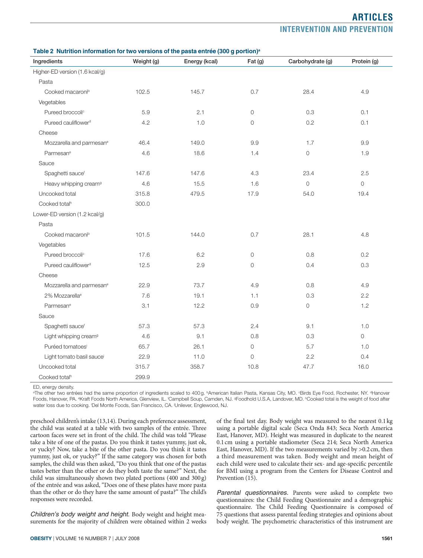## **articles**

### **intervention and Prevention**

<span id="page-3-0"></span>

| Table 2 Nutrition information for two versions of the pasta entrée (300 g portion) <sup>a</sup> |            |               |                |                  |                     |  |  |
|-------------------------------------------------------------------------------------------------|------------|---------------|----------------|------------------|---------------------|--|--|
| Ingredients                                                                                     | Weight (g) | Energy (kcal) | Fat(q)         | Carbohydrate (g) | Protein (g)         |  |  |
| Higher-ED version (1.6 kcal/g)                                                                  |            |               |                |                  |                     |  |  |
| Pasta                                                                                           |            |               |                |                  |                     |  |  |
| Cooked macaroni <sup>b</sup>                                                                    | 102.5      | 145.7         | 0.7            | 28.4             | 4.9                 |  |  |
| Vegetables                                                                                      |            |               |                |                  |                     |  |  |
| Pureed broccolic                                                                                | 5.9        | 2.1           | $\mathbf 0$    | 0.3              | 0.1                 |  |  |
| Pureed cauliflower <sup>d</sup>                                                                 | 4.2        | 1.0           | $\mathbf 0$    | 0.2              | 0.1                 |  |  |
| Cheese                                                                                          |            |               |                |                  |                     |  |  |
| Mozzarella and parmesan <sup>e</sup>                                                            | 46.4       | 149.0         | 9.9            | 1.7              | 9.9                 |  |  |
| Parmesan <sup>e</sup>                                                                           | 4.6        | 18.6          | 1.4            | 0                | 1.9                 |  |  |
| Sauce                                                                                           |            |               |                |                  |                     |  |  |
| Spaghetti saucef                                                                                | 147.6      | 147.6         | 4.3            | 23.4             | 2.5                 |  |  |
| Heavy whipping cream <sup>9</sup>                                                               | 4.6        | 15.5          | 1.6            | $\circ$          | $\circ$             |  |  |
| Uncooked total                                                                                  | 315.8      | 479.5         | 17.9           | 54.0             | 19.4                |  |  |
| Cooked total <sup>h</sup>                                                                       | 300.0      |               |                |                  |                     |  |  |
| Lower-ED version (1.2 kcal/g)                                                                   |            |               |                |                  |                     |  |  |
| Pasta                                                                                           |            |               |                |                  |                     |  |  |
| Cooked macaroni <sup>b</sup>                                                                    | 101.5      | 144.0         | 0.7            | 28.1             | 4.8                 |  |  |
| Vegetables                                                                                      |            |               |                |                  |                     |  |  |
| Pureed broccolic                                                                                | 17.6       | 6.2           | $\mathbf 0$    | 0.8              | 0.2                 |  |  |
| Pureed cauliflower <sup>d</sup>                                                                 | 12.5       | 2.9           | $\mathbf 0$    | 0.4              | 0.3                 |  |  |
| Cheese                                                                                          |            |               |                |                  |                     |  |  |
| Mozzarella and parmesan <sup>e</sup>                                                            | 22.9       | 73.7          | 4.9            | 0.8              | 4.9                 |  |  |
| 2% Mozzarella <sup>e</sup>                                                                      | 7.6        | 19.1          | 1.1            | 0.3              | 2.2                 |  |  |
| Parmesan <sup>e</sup>                                                                           | 3.1        | 12.2          | 0.9            | 0                | 1.2                 |  |  |
| Sauce                                                                                           |            |               |                |                  |                     |  |  |
| Spaghetti saucef                                                                                | 57.3       | 57.3          | 2.4            | 9.1              | 1.0                 |  |  |
| Light whipping cream <sup>9</sup>                                                               | 4.6        | 9.1           | 0.8            | 0.3              | $\mathsf{O}\xspace$ |  |  |
| Puréed tomatoes                                                                                 | 65.7       | 26.1          | $\mathbf 0$    | 5.7              | 1.0                 |  |  |
| Light tomato basil sauce                                                                        | 22.9       | 11.0          | $\overline{O}$ | 2.2              | 0.4                 |  |  |
| Uncooked total                                                                                  | 315.7      | 358.7         | 10.8           | 47.7             | 16.0                |  |  |
| Cooked total <sup>h</sup>                                                                       | 299.9      |               |                |                  |                     |  |  |

ED, energy density.

<sup>a</sup>The other two entrées had the same proportion of ingredients scaled to 400g. <sup>b</sup>American Italian Pasta, Kansas City, MO. °Birds Eye Food, Rochester, NY. <sup>a</sup>Hanover Foods, Hanover, PA. <sup>e</sup>Kraft Foods North America, Glenview, IL. 'Campbell Soup, Camden, NJ. ºFoodhold U.S.A, Landover, MD. <sup>h</sup>Cooked total is the weight of food after water loss due to cooking. i Del Monte Foods, San Francisco, CA. j Unilever, Englewood, NJ.

preschool children's intake (13,14). During each preference assessment, the child was seated at a table with two samples of the entrée. Three cartoon faces were set in front of the child. The child was told "Please take a bite of one of the pastas. Do you think it tastes yummy, just ok, or yucky? Now, take a bite of the other pasta. Do you think it tastes yummy, just ok, or yucky?" If the same category was chosen for both samples, the child was then asked, "Do you think that one of the pastas tastes better than the other or do they both taste the same?" Next, the child was simultaneously shown two plated portions (400 and 300g) of the entrée and was asked, "Does one of these plates have more pasta than the other or do they have the same amount of pasta?" The child's responses were recorded.

*Children's body weight and height.* Body weight and height measurements for the majority of children were obtained within 2 weeks of the final test day. Body weight was measured to the nearest 0.1kg using a portable digital scale (Seca Onda 843; Seca North America East, Hanover, MD). Height was measured in duplicate to the nearest 0.1cm using a portable stadiometer (Seca 214; Seca North America East, Hanover, MD). If the two measurements varied by >0.2cm, then a third measurement was taken. Body weight and mean height of each child were used to calculate their sex- and age-specific percentile for BMI using a program from the Centers for Disease Control and Prevention (15).

*Parental questionnaires.* Parents were asked to complete two questionnaires: the Child Feeding Questionnaire and a demographic questionnaire. The Child Feeding Questionnaire is composed of 75 questions that assess parental feeding strategies and opinions about body weight. The psychometric characteristics of this instrument are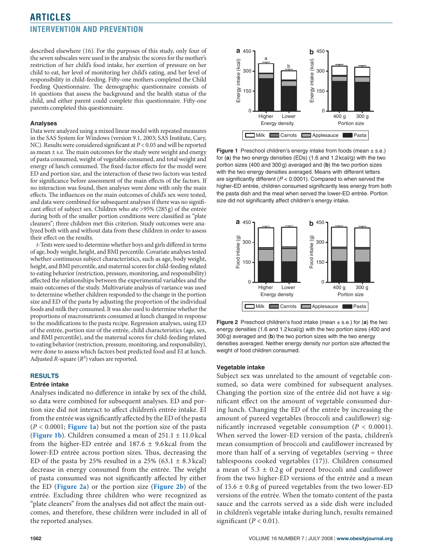described elsewhere (16). For the purposes of this study, only four of the seven subscales were used in the analysis: the scores for the mother's restriction of her child's food intake, her exertion of pressure on her child to eat, her level of monitoring her child's eating, and her level of responsibility in child-feeding. Fifty-one mothers completed the Child Feeding Questionnaire. The demographic questionnaire consists of 16 questions that assess the background and the health status of the child, and either parent could complete this questionnaire. Fifty-one parents completed this questionnaire.

#### **Analyses**

Data were analyzed using a mixed linear model with repeated measures in the SAS System for Windows (version 9.1, 2003; SAS Institute, Cary, NC). Results were considered significant at *P* < 0.05 and will be reported as mean  $\pm$  s.e. The main outcomes for the study were weight and energy of pasta consumed, weight of vegetable consumed, and total weight and energy of lunch consumed. The fixed-factor effects for the model were ED and portion size, and the interaction of these two factors was tested for significance before assessment of the main effects of the factors. If no interaction was found, then analyses were done with only the main effects. The influences on the main outcomes of child's sex were tested, and data were combined for subsequent analyses if there was no significant effect of subject sex. Children who ate >95% (285g) of the entrée during both of the smaller portion conditions were classified as "plate cleaners"; three children met this criterion. Study outcomes were analyzed both with and without data from these children in order to assess their effect on the results.

*t*-Tests were used to determine whether boys and girls differed in terms of age, body weight, height, and BMI percentile. Covariate analyses tested whether continuous subject characteristics, such as age, body weight, height, and BMI percentile, and maternal scores for child-feeding related to eating behavior (restriction, pressure, monitoring, and responsibility) affected the relationships between the experimental variables and the main outcomes of the study. Multivariate analysis of variance was used to determine whether children responded to the change in the portion size and ED of the pasta by adjusting the proportion of the individual foods and milk they consumed. It was also used to determine whether the proportions of macronutrients consumed at lunch changed in response to the modifications to the pasta recipe. Regression analyses, using ED of the entrée, portion size of the entrée, child characteristics (age, sex, and BMI percentile), and the maternal scores for child-feeding related to eating behavior (restriction, pressure, monitoring, and responsibility), were done to assess which factors best predicted food and EI at lunch. Adjusted  $R$ -square  $(R^2)$  values are reported.

### **Results**

### **Entrée intake**

Analyses indicated no difference in intake by sex of the child, so data were combined for subsequent analyses. ED and portion size did not interact to affect children's entrée intake. EI from the entrée was significantly affected by the ED of the pasta (*P* < 0.0001; **Figure 1a**) but not the portion size of the pasta (**Figure 1b**). Children consumed a mean of 251.1 ± 11.0 kcal from the higher-ED entrée and  $187.6 \pm 9.6$  kcal from the lower-ED entrée across portion sizes. Thus, decreasing the ED of the pasta by 25% resulted in a 25% (63.1  $\pm$  8.3 kcal) decrease in energy consumed from the entrée. The weight of pasta consumed was not significantly affected by either the ED (**Figure 2a**) or the portion size (**Figure 2b**) of the entrée. Excluding three children who were recognized as "plate cleaners" from the analyses did not affect the main outcomes, and therefore, these children were included in all of the reported analyses.



**Figure 1** Preschool children's energy intake from foods (mean ± s.e.) for (**a**) the two energy densities (EDs) (1.6 and 1.2kcal/g) with the two portion sizes (400 and 300g) averaged and (**b**) the two portion sizes with the two energy densities averaged. Means with different letters are significantly different (*P* < 0.0001). Compared to when served the higher-ED entrée, children consumed significantly less energy from both the pasta dish and the meal when served the lower-ED entrée. Portion size did not significantly affect children's energy intake.



**Figure 2** Preschool children's food intake (mean ± s.e.) for (**a**) the two energy densities (1.6 and 1.2kcal/g) with the two portion sizes (400 and 300g) averaged and (**b**) the two portion sizes with the two energy densities averaged. Neither energy density nor portion size affected the weight of food children consumed.

### **Vegetable intake**

Subject sex was unrelated to the amount of vegetable consumed, so data were combined for subsequent analyses. Changing the portion size of the entrée did not have a significant effect on the amount of vegetable consumed during lunch. Changing the ED of the entrée by increasing the amount of pureed vegetables (broccoli and cauliflower) significantly increased vegetable consumption  $(P < 0.0001)$ . When served the lower-ED version of the pasta, children's mean consumption of broccoli and cauliflower increased by more than half of a serving of vegetables (serving = three tablespoons cooked vegetables (17)). Children consumed a mean of  $5.3 \pm 0.2$  g of pureed broccoli and cauliflower from the two higher-ED versions of the entrée and a mean of  $15.6 \pm 0.8$  g of pureed vegetables from the two lower-ED versions of the entrée. When the tomato content of the pasta sauce and the carrots served as a side dish were included in children's vegetable intake during lunch, results remained significant  $(P < 0.01)$ .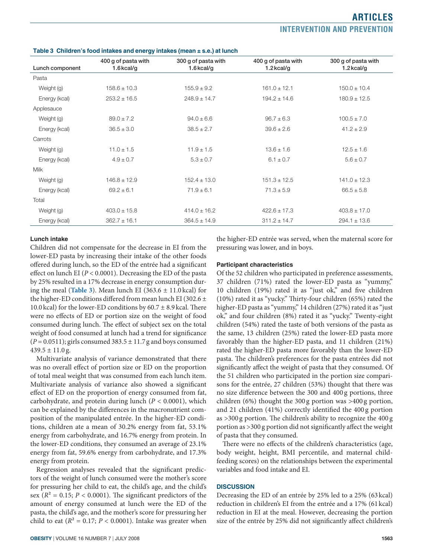|                 | 400 g of pasta with | 300 g of pasta with | 400 g of pasta with | 300 g of pasta with |
|-----------------|---------------------|---------------------|---------------------|---------------------|
| Lunch component | $1.6$ kcal/q        | $1.6$ kcal/q        | $1.2$ kcal/q        | $1.2$ kcal/q        |
| Pasta           |                     |                     |                     |                     |
| Weight (g)      | $158.6 \pm 10.3$    | $155.9 \pm 9.2$     | $161.0 \pm 12.1$    | $150.0 \pm 10.4$    |
| Energy (kcal)   | $253.2 \pm 16.5$    | $248.9 \pm 14.7$    | $194.2 \pm 14.6$    | $180.9 \pm 12.5$    |
| Applesauce      |                     |                     |                     |                     |
| Weight (g)      | $89.0 \pm 7.2$      | $94.0 \pm 6.6$      | $96.7 \pm 6.3$      | $100.5 \pm 7.0$     |
| Energy (kcal)   | $36.5 \pm 3.0$      | $38.5 \pm 2.7$      | $39.6 \pm 2.6$      | $41.2 \pm 2.9$      |
| Carrots         |                     |                     |                     |                     |
| Weight (g)      | $11.0 \pm 1.5$      | $11.9 \pm 1.5$      | $13.6 \pm 1.6$      | $12.5 \pm 1.6$      |
| Energy (kcal)   | $4.9 \pm 0.7$       | $5.3 \pm 0.7$       | $6.1 \pm 0.7$       | $5.6 \pm 0.7$       |
| Milk            |                     |                     |                     |                     |
| Weight (g)      | $146.8 \pm 12.9$    | $152.4 \pm 13.0$    | $151.3 \pm 12.5$    | $141.0 \pm 12.3$    |
| Energy (kcal)   | $69.2 \pm 6.1$      | $71.9 \pm 6.1$      | $71.3 \pm 5.9$      | $66.5 \pm 5.8$      |
| Total           |                     |                     |                     |                     |
| Weight (g)      | $403.0 \pm 15.8$    | $414.0 \pm 16.2$    | $422.6 \pm 17.3$    | $403.8 \pm 17.0$    |
| Energy (kcal)   | $362.7 \pm 16.1$    | $364.5 \pm 14.9$    | $311.2 \pm 14.7$    | $294.1 \pm 13.6$    |

### **Table 3 Children's food intakes and energy intakes (mean ± s.e.) at lunch**

### **Lunch intake**

Children did not compensate for the decrease in EI from the lower-ED pasta by increasing their intake of the other foods offered during lunch, so the ED of the entrée had a significant effect on lunch EI ( $P < 0.0001$ ). Decreasing the ED of the pasta by 25% resulted in a 17% decrease in energy consumption during the meal (**Table 3**). Mean lunch EI ( $363.6 \pm 11.0$  kcal) for the higher-ED conditions differed from mean lunch EI (302.6  $\pm$ 10.0 kcal) for the lower-ED conditions by  $60.7 \pm 8.9$  kcal. There were no effects of ED or portion size on the weight of food consumed during lunch. The effect of subject sex on the total weight of food consumed at lunch had a trend for significance  $(P = 0.0511)$ ; girls consumed 383.5  $\pm$  11.7 g and boys consumed  $439.5 \pm 11.0$  g.

Multivariate analysis of variance demonstrated that there was no overall effect of portion size or ED on the proportion of total meal weight that was consumed from each lunch item. Multivariate analysis of variance also showed a significant effect of ED on the proportion of energy consumed from fat, carbohydrate, and protein during lunch (*P* < 0.0001), which can be explained by the differences in the macronutrient composition of the manipulated entrée. In the higher-ED conditions, children ate a mean of 30.2% energy from fat, 53.1% energy from carbohydrate, and 16.7% energy from protein. In the lower-ED conditions, they consumed an average of 23.1% energy from fat, 59.6% energy from carbohydrate, and 17.3% energy from protein.

Regression analyses revealed that the significant predictors of the weight of lunch consumed were the mother's score for pressuring her child to eat, the child's age, and the child's sex ( $R^2 = 0.15$ ;  $P < 0.0001$ ). The significant predictors of the amount of energy consumed at lunch were the ED of the pasta, the child's age, and the mother's score for pressuring her child to eat  $(R^2 = 0.17; P < 0.0001)$ . Intake was greater when the higher-ED entrée was served, when the maternal score for pressuring was lower, and in boys.

### **Participant characteristics**

Of the 52 children who participated in preference assessments, 37 children (71%) rated the lower-ED pasta as "yummy," 10 children (19%) rated it as "just ok," and five children (10%) rated it as "yucky." Thirty-four children (65%) rated the higher-ED pasta as "yummy," 14 children (27%) rated it as "just ok," and four children (8%) rated it as "yucky." Twenty-eight children (54%) rated the taste of both versions of the pasta as the same, 13 children (25%) rated the lower-ED pasta more favorably than the higher-ED pasta, and 11 children (21%) rated the higher-ED pasta more favorably than the lower-ED pasta. The children's preferences for the pasta entrées did not significantly affect the weight of pasta that they consumed. Of the 51 children who participated in the portion size comparisons for the entrée, 27 children (53%) thought that there was no size difference between the 300 and 400 g portions, three children (6%) thought the 300 g portion was >400 g portion, and 21 children (41%) correctly identified the 400 g portion as >300 g portion. The children's ability to recognize the 400 g portion as >300 g portion did not significantly affect the weight of pasta that they consumed.

There were no effects of the children's characteristics (age, body weight, height, BMI percentile, and maternal childfeeding scores) on the relationships between the experimental variables and food intake and EI.

### **Discussion**

Decreasing the ED of an entrée by 25% led to a 25% (63kcal) reduction in children's EI from the entrée and a 17% (61 kcal) reduction in EI at the meal. However, decreasing the portion size of the entrée by 25% did not significantly affect children's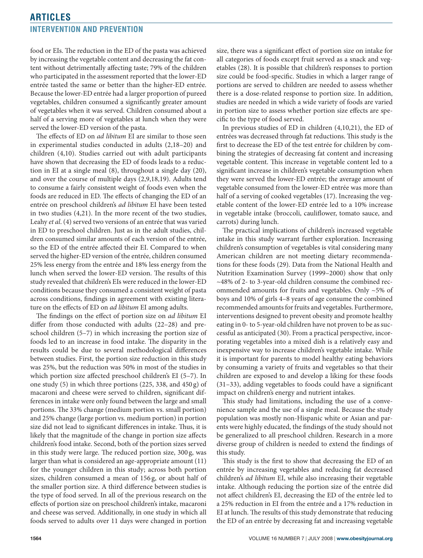food or EIs. The reduction in the ED of the pasta was achieved by increasing the vegetable content and decreasing the fat content without detrimentally affecting taste; 79% of the children who participated in the assessment reported that the lower-ED entrée tasted the same or better than the higher-ED entrée. Because the lower-ED entrée had a larger proportion of pureed vegetables, children consumed a significantly greater amount of vegetables when it was served. Children consumed about a half of a serving more of vegetables at lunch when they were served the lower-ED version of the pasta.

The effects of ED on *ad libitum* EI are similar to those seen in experimental studies conducted in adults (2,18–20) and children (4,10). Studies carried out with adult participants have shown that decreasing the ED of foods leads to a reduction in EI at a single meal (8), throughout a single day (20), and over the course of multiple days (2,9,18,19). Adults tend to consume a fairly consistent weight of foods even when the foods are reduced in ED. The effects of changing the ED of an entrée on preschool children's *ad libitum* EI have been tested in two studies (4,21). In the more recent of the two studies, Leahy *et al*. (4) served two versions of an entrée that was varied in ED to preschool children. Just as in the adult studies, children consumed similar amounts of each version of the entrée, so the ED of the entrée affected their EI. Compared to when served the higher-ED version of the entrée, children consumed 25% less energy from the entrée and 18% less energy from the lunch when served the lower-ED version. The results of this study revealed that children's EIs were reduced in the lower-ED conditions because they consumed a consistent weight of pasta across conditions, findings in agreement with existing literature on the effects of ED on *ad libitum* EI among adults.

The findings on the effect of portion size on *ad libitum* EI differ from those conducted with adults (22–28) and preschool children (5–7) in which increasing the portion size of foods led to an increase in food intake. The disparity in the results could be due to several methodological differences between studies. First, the portion size reduction in this study was 25%, but the reduction was 50% in most of the studies in which portion size affected preschool children's EI (5–7). In one study (5) in which three portions (225, 338, and 450 g) of macaroni and cheese were served to children, significant differences in intake were only found between the large and small portions. The 33% change (medium portion vs. small portion) and 25% change (large portion vs. medium portion) in portion size did not lead to significant differences in intake. Thus, it is likely that the magnitude of the change in portion size affects children's food intake. Second, both of the portion sizes served in this study were large. The reduced portion size, 300 g, was larger than what is considered an age-appropriate amount (11) for the younger children in this study; across both portion sizes, children consumed a mean of 156 g, or about half of the smaller portion size. A third difference between studies is the type of food served. In all of the previous research on the effects of portion size on preschool children's intake, macaroni and cheese was served. Additionally, in one study in which all foods served to adults over 11 days were changed in portion

size, there was a significant effect of portion size on intake for all categories of foods except fruit served as a snack and vegetables (28). It is possible that children's responses to portion size could be food-specific. Studies in which a larger range of portions are served to children are needed to assess whether there is a dose-related response to portion size. In addition, studies are needed in which a wide variety of foods are varied in portion size to assess whether portion size effects are specific to the type of food served.

In previous studies of ED in children (4,10,21), the ED of entrées was decreased through fat reductions. This study is the first to decrease the ED of the test entrée for children by combining the strategies of decreasing fat content and increasing vegetable content. This increase in vegetable content led to a significant increase in children's vegetable consumption when they were served the lower-ED entrée; the average amount of vegetable consumed from the lower-ED entrée was more than half of a serving of cooked vegetables (17). Increasing the vegetable content of the lower-ED entrée led to a 10% increase in vegetable intake (broccoli, cauliflower, tomato sauce, and carrots) during lunch.

The practical implications of children's increased vegetable intake in this study warrant further exploration. Increasing children's consumption of vegetables is vital considering many American children are not meeting dietary recommendations for these foods (29). Data from the National Health and Nutrition Examination Survey (1999–2000) show that only ~48% of 2- to 3-year-old children consume the combined recommended amounts for fruits and vegetables. Only ~5% of boys and 10% of girls 4–8 years of age consume the combined recommended amounts for fruits and vegetables. Furthermore, interventions designed to prevent obesity and promote healthy eating in 0- to 5-year-old children have not proven to be as successful as anticipated (30). From a practical perspective, incorporating vegetables into a mixed dish is a relatively easy and inexpensive way to increase children's vegetable intake. While it is important for parents to model healthy eating behaviors by consuming a variety of fruits and vegetables so that their children are exposed to and develop a liking for these foods (31–33), adding vegetables to foods could have a significant impact on children's energy and nutrient intakes.

This study had limitations, including the use of a convenience sample and the use of a single meal. Because the study population was mostly non-Hispanic white or Asian and parents were highly educated, the findings of the study should not be generalized to all preschool children. Research in a more diverse group of children is needed to extend the findings of this study.

This study is the first to show that decreasing the ED of an entrée by increasing vegetables and reducing fat decreased children's *ad libitum* EI, while also increasing their vegetable intake. Although reducing the portion size of the entrée did not affect children's EI, decreasing the ED of the entrée led to a 25% reduction in EI from the entrée and a 17% reduction in EI at lunch. The results of this study demonstrate that reducing the ED of an entrée by decreasing fat and increasing vegetable